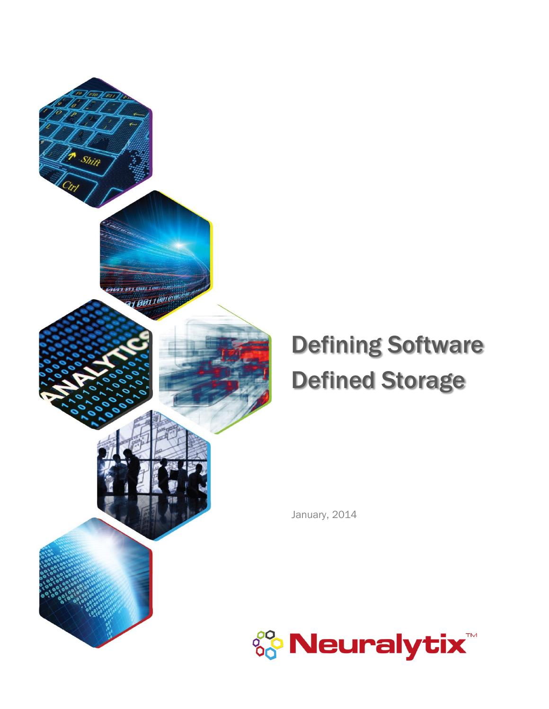

## Defining Software Defined Storage

January, 2014

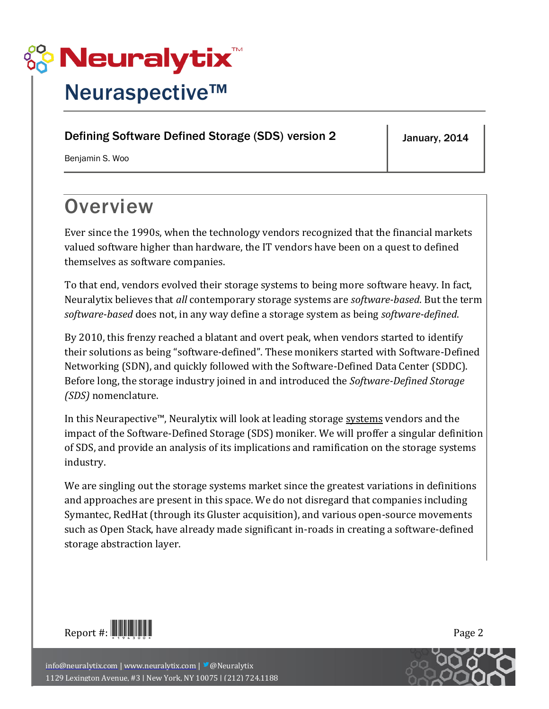

### Neuraspective™

### Defining Software Defined Storage (SDS) version 2

January, 2014

<span id="page-1-0"></span>Benjamin S. Woo

### **Overview**

Ever since the 1990s, when the technology vendors recognized that the financial markets valued software higher than hardware, the IT vendors have been on a quest to defined themselves as software companies.

To that end, vendors evolved their storage systems to being more software heavy. In fact, Neuralytix believes that *all* contemporary storage systems are *software-based*. But the term *software-based* does not, in any way define a storage system as being *software-defined*.

By 2010, this frenzy reached a blatant and overt peak, when vendors started to identify their solutions as being "software-defined". These monikers started with Software-Defined Networking (SDN), and quickly followed with the Software-Defined Data Center (SDDC). Before long, the storage industry joined in and introduced the *Software-Defined Storage (SDS)* nomenclature.

In this Neurapective™, Neuralytix will look at leading storage systems vendors and the impact of the Software-Defined Storage (SDS) moniker. We will proffer a singular definition of SDS, and provide an analysis of its implications and ramification on the storage systems industry.

We are singling out the storage systems market since the greatest variations in definitions and approaches are present in this space. We do not disregard that companies including Symantec, RedHat (through its Gluster acquisition), and various open-source movements such as Open Stack, have already made significant in-roads in creating a software-defined storage abstraction layer.



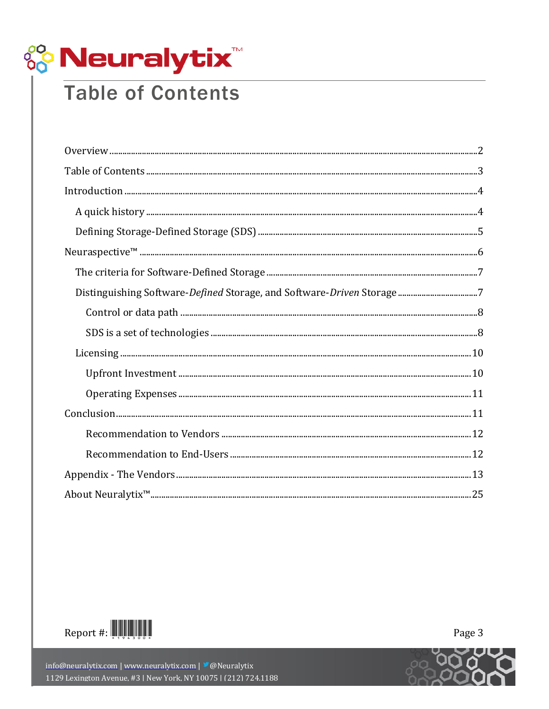

### <span id="page-2-0"></span>**Table of Contents**

| $\begin{minipage}{0.5\textwidth} \centering \begin{tabular}{ c c c c } \hline \textbf{0} & \textbf{0} & \textbf{0} & \textbf{0} & \textbf{0} & \textbf{0} & \textbf{0} & \textbf{0} & \textbf{0} & \textbf{0} & \textbf{0} & \textbf{0} & \textbf{0} & \textbf{0} & \textbf{0} & \textbf{0} & \textbf{0} & \textbf{0} & \textbf{0} & \textbf{0} & \textbf{0} & \textbf{0} & \textbf{0} & \textbf{0} & \textbf{0} & \textbf{0} & \text$ |
|----------------------------------------------------------------------------------------------------------------------------------------------------------------------------------------------------------------------------------------------------------------------------------------------------------------------------------------------------------------------------------------------------------------------------------------|
|                                                                                                                                                                                                                                                                                                                                                                                                                                        |
|                                                                                                                                                                                                                                                                                                                                                                                                                                        |
|                                                                                                                                                                                                                                                                                                                                                                                                                                        |
|                                                                                                                                                                                                                                                                                                                                                                                                                                        |
|                                                                                                                                                                                                                                                                                                                                                                                                                                        |
|                                                                                                                                                                                                                                                                                                                                                                                                                                        |
|                                                                                                                                                                                                                                                                                                                                                                                                                                        |
|                                                                                                                                                                                                                                                                                                                                                                                                                                        |
|                                                                                                                                                                                                                                                                                                                                                                                                                                        |
|                                                                                                                                                                                                                                                                                                                                                                                                                                        |
|                                                                                                                                                                                                                                                                                                                                                                                                                                        |
|                                                                                                                                                                                                                                                                                                                                                                                                                                        |
|                                                                                                                                                                                                                                                                                                                                                                                                                                        |
|                                                                                                                                                                                                                                                                                                                                                                                                                                        |
|                                                                                                                                                                                                                                                                                                                                                                                                                                        |
|                                                                                                                                                                                                                                                                                                                                                                                                                                        |
|                                                                                                                                                                                                                                                                                                                                                                                                                                        |





Page 3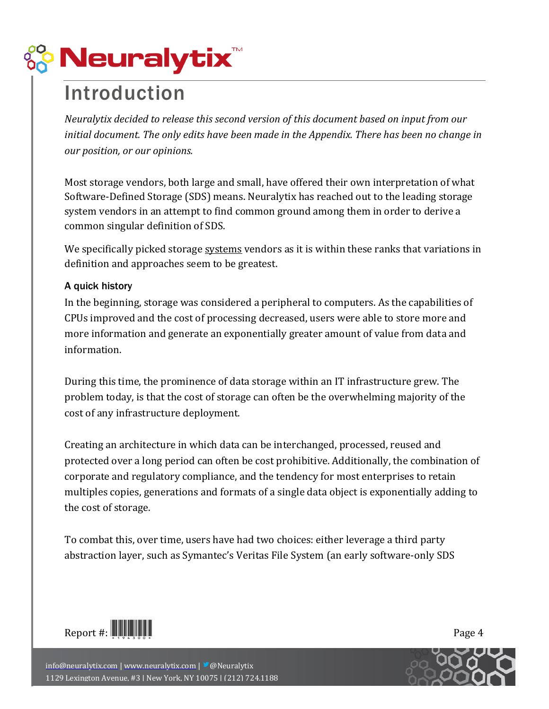

### <span id="page-3-0"></span>Introduction

*Neuralytix decided to release this second version of this document based on input from our initial document. The only edits have been made in the Appendix. There has been no change in our position, or our opinions.*

Most storage vendors, both large and small, have offered their own interpretation of what Software-Defined Storage (SDS) means. Neuralytix has reached out to the leading storage system vendors in an attempt to find common ground among them in order to derive a common singular definition of SDS.

We specifically picked storage systems vendors as it is within these ranks that variations in definition and approaches seem to be greatest.

### <span id="page-3-1"></span>A quick history

In the beginning, storage was considered a peripheral to computers. As the capabilities of CPUs improved and the cost of processing decreased, users were able to store more and more information and generate an exponentially greater amount of value from data and information.

During this time, the prominence of data storage within an IT infrastructure grew. The problem today, is that the cost of storage can often be the overwhelming majority of the cost of any infrastructure deployment.

Creating an architecture in which data can be interchanged, processed, reused and protected over a long period can often be cost prohibitive. Additionally, the combination of corporate and regulatory compliance, and the tendency for most enterprises to retain multiples copies, generations and formats of a single data object is exponentially adding to the cost of storage.

To combat this, over time, users have had two choices: either leverage a third party abstraction layer, such as Symantec's Veritas File System (an early software-only SDS



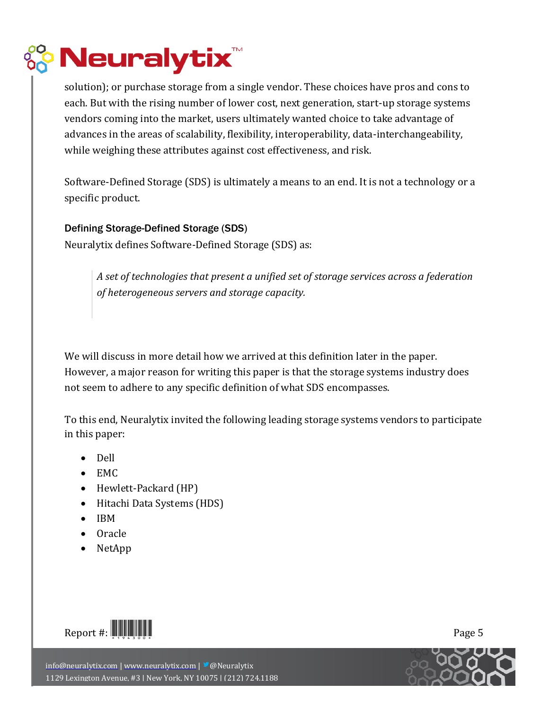

solution); or purchase storage from a single vendor. These choices have pros and cons to each. But with the rising number of lower cost, next generation, start-up storage systems vendors coming into the market, users ultimately wanted choice to take advantage of advances in the areas of scalability, flexibility, interoperability, data-interchangeability, while weighing these attributes against cost effectiveness, and risk.

Software-Defined Storage (SDS) is ultimately a means to an end. It is not a technology or a specific product.

### <span id="page-4-0"></span>Defining Storage-Defined Storage (SDS)

Neuralytix defines Software-Defined Storage (SDS) as:

*A set of technologies that present a unified set of storage services across a federation of heterogeneous servers and storage capacity.*

We will discuss in more detail how we arrived at this definition later in the paper. However, a major reason for writing this paper is that the storage systems industry does not seem to adhere to any specific definition of what SDS encompasses.

To this end, Neuralytix invited the following leading storage systems vendors to participate in this paper:

- Dell
- $\bullet$  EMC
- Hewlett-Packard (HP)
- Hitachi Data Systems (HDS)
- $\bullet$  IBM
- Oracle
- NetApp



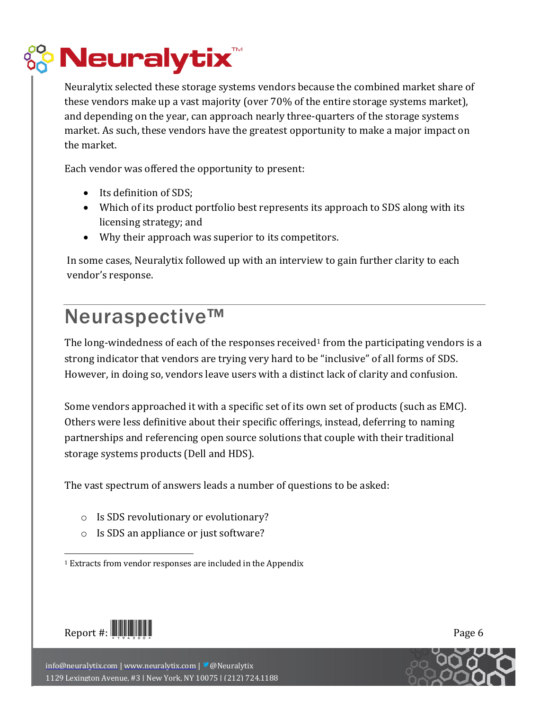

Neuralytix selected these storage systems vendors because the combined market share of these vendors make up a vast majority (over 70% of the entire storage systems market), and depending on the year, can approach nearly three-quarters of the storage systems market. As such, these vendors have the greatest opportunity to make a major impact on the market.

Each vendor was offered the opportunity to present:

- Its definition of SDS;
- Which of its product portfolio best represents its approach to SDS along with its licensing strategy; and
- Why their approach was superior to its competitors.

In some cases, Neuralytix followed up with an interview to gain further clarity to each vendor's response.

### <span id="page-5-0"></span>Neuraspective™

The long-windedness of each of the responses received<sup>1</sup> from the participating vendors is a strong indicator that vendors are trying very hard to be "inclusive" of all forms of SDS. However, in doing so, vendors leave users with a distinct lack of clarity and confusion.

Some vendors approached it with a specific set of its own set of products (such as EMC). Others were less definitive about their specific offerings, instead, deferring to naming partnerships and referencing open source solutions that couple with their traditional storage systems products (Dell and HDS).

The vast spectrum of answers leads a number of questions to be asked:

- o Is SDS revolutionary or evolutionary?
- o Is SDS an appliance or just software?

<sup>1</sup> Extracts from vendor responses are included in the Appendix



 $\overline{a}$ 

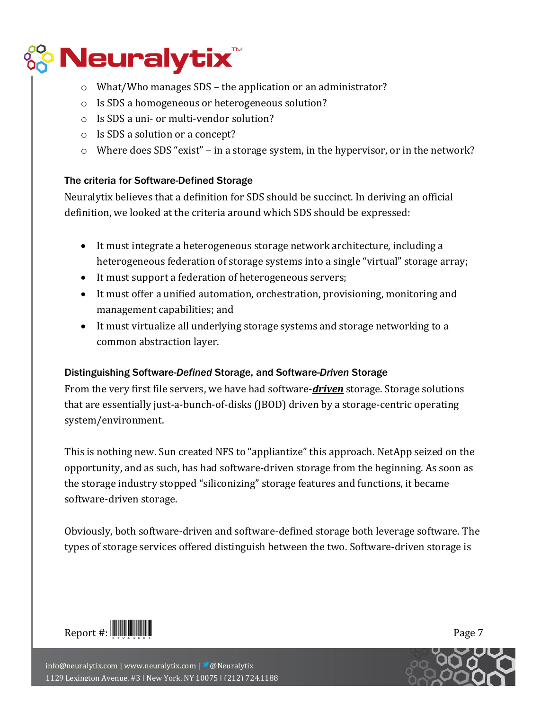

- o What/Who manages SDS the application or an administrator?
- o Is SDS a homogeneous or heterogeneous solution?
- o Is SDS a uni- or multi-vendor solution?
- o Is SDS a solution or a concept?
- o Where does SDS "exist" in a storage system, in the hypervisor, or in the network?

### <span id="page-6-0"></span>The criteria for Software-Defined Storage

Neuralytix believes that a definition for SDS should be succinct. In deriving an official definition, we looked at the criteria around which SDS should be expressed:

- It must integrate a heterogeneous storage network architecture, including a heterogeneous federation of storage systems into a single "virtual" storage array;
- It must support a federation of heterogeneous servers;
- It must offer a unified automation, orchestration, provisioning, monitoring and management capabilities; and
- It must virtualize all underlying storage systems and storage networking to a common abstraction layer.

### <span id="page-6-1"></span>Distinguishing Software-*Defined* Storage, and Software-*Driven* Storage

From the very first file servers, we have had software-*driven* storage. Storage solutions that are essentially just-a-bunch-of-disks (JBOD) driven by a storage-centric operating system/environment.

This is nothing new. Sun created NFS to "appliantize" this approach. NetApp seized on the opportunity, and as such, has had software-driven storage from the beginning. As soon as the storage industry stopped "siliconizing" storage features and functions, it became software-driven storage.

Obviously, both software-driven and software-defined storage both leverage software. The types of storage services offered distinguish between the two. Software-driven storage is



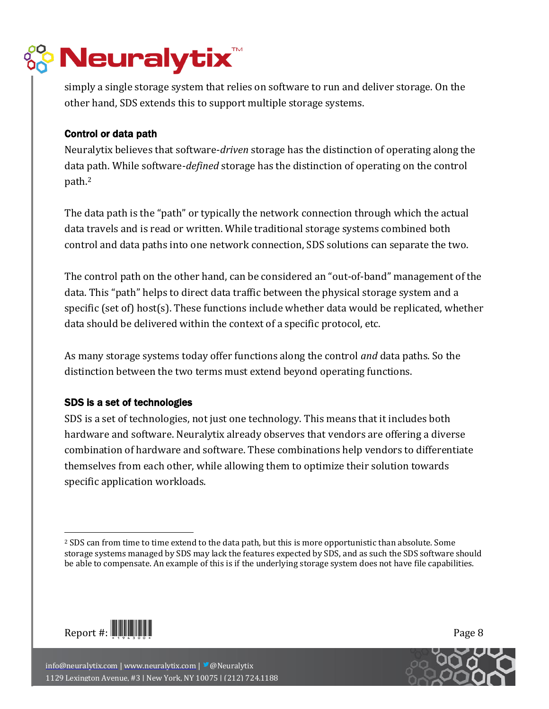

simply a single storage system that relies on software to run and deliver storage. On the other hand, SDS extends this to support multiple storage systems.

### <span id="page-7-0"></span>Control or data path

Neuralytix believes that software-*driven* storage has the distinction of operating along the data path. While software-*defined* storage has the distinction of operating on the control path.<sup>2</sup>

The data path is the "path" or typically the network connection through which the actual data travels and is read or written. While traditional storage systems combined both control and data paths into one network connection, SDS solutions can separate the two.

The control path on the other hand, can be considered an "out-of-band" management of the data. This "path" helps to direct data traffic between the physical storage system and a specific (set of) host(s). These functions include whether data would be replicated, whether data should be delivered within the context of a specific protocol, etc.

As many storage systems today offer functions along the control *and* data paths. So the distinction between the two terms must extend beyond operating functions.

### <span id="page-7-1"></span>SDS is a set of technologies

SDS is a set of technologies, not just one technology. This means that it includes both hardware and software. Neuralytix already observes that vendors are offering a diverse combination of hardware and software. These combinations help vendors to differentiate themselves from each other, while allowing them to optimize their solution towards specific application workloads.



 $\overline{a}$ 



<sup>2</sup> SDS can from time to time extend to the data path, but this is more opportunistic than absolute. Some storage systems managed by SDS may lack the features expected by SDS, and as such the SDS software should be able to compensate. An example of this is if the underlying storage system does not have file capabilities.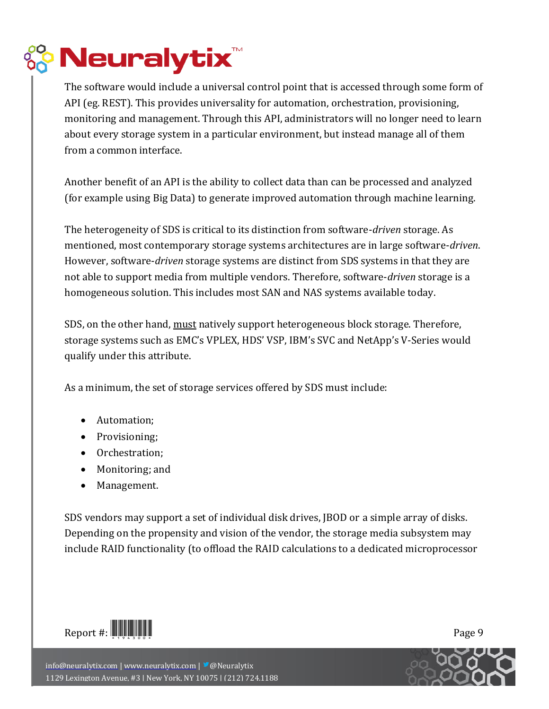

The software would include a universal control point that is accessed through some form of API (eg. REST). This provides universality for automation, orchestration, provisioning, monitoring and management. Through this API, administrators will no longer need to learn about every storage system in a particular environment, but instead manage all of them from a common interface.

Another benefit of an API is the ability to collect data than can be processed and analyzed (for example using Big Data) to generate improved automation through machine learning.

The heterogeneity of SDS is critical to its distinction from software-*driven* storage. As mentioned, most contemporary storage systems architectures are in large software-*driven*. However, software-*driven* storage systems are distinct from SDS systems in that they are not able to support media from multiple vendors. Therefore, software-*driven* storage is a homogeneous solution. This includes most SAN and NAS systems available today.

SDS, on the other hand, must natively support heterogeneous block storage. Therefore, storage systems such as EMC's VPLEX, HDS' VSP, IBM's SVC and NetApp's V-Series would qualify under this attribute.

As a minimum, the set of storage services offered by SDS must include:

- Automation:
- Provisioning;
- Orchestration;
- Monitoring; and
- Management.

SDS vendors may support a set of individual disk drives, JBOD or a simple array of disks. Depending on the propensity and vision of the vendor, the storage media subsystem may include RAID functionality (to offload the RAID calculations to a dedicated microprocessor



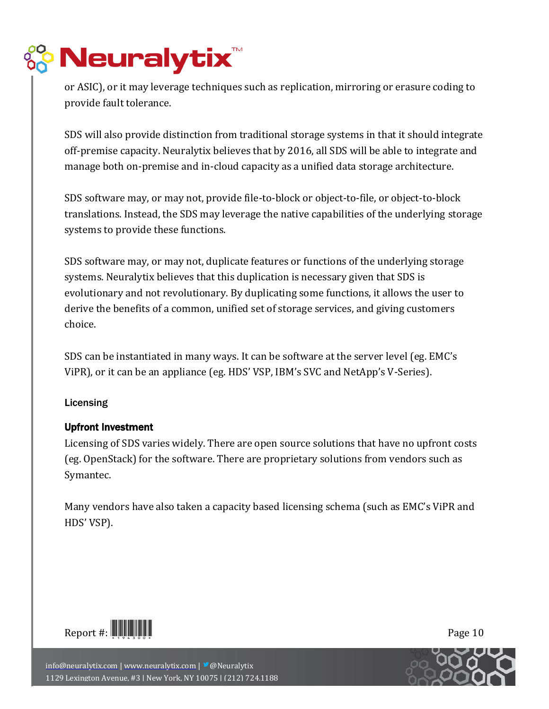## **Neuralytix**

or ASIC), or it may leverage techniques such as replication, mirroring or erasure coding to provide fault tolerance.

SDS will also provide distinction from traditional storage systems in that it should integrate off-premise capacity. Neuralytix believes that by 2016, all SDS will be able to integrate and manage both on-premise and in-cloud capacity as a unified data storage architecture.

SDS software may, or may not, provide file-to-block or object-to-file, or object-to-block translations. Instead, the SDS may leverage the native capabilities of the underlying storage systems to provide these functions.

SDS software may, or may not, duplicate features or functions of the underlying storage systems. Neuralytix believes that this duplication is necessary given that SDS is evolutionary and not revolutionary. By duplicating some functions, it allows the user to derive the benefits of a common, unified set of storage services, and giving customers choice.

SDS can be instantiated in many ways. It can be software at the server level (eg. EMC's ViPR), or it can be an appliance (eg. HDS' VSP, IBM's SVC and NetApp's V-Series).

### <span id="page-9-0"></span>**Licensing**

### <span id="page-9-1"></span>Upfront Investment

Licensing of SDS varies widely. There are open source solutions that have no upfront costs (eg. OpenStack) for the software. There are proprietary solutions from vendors such as Symantec.

Many vendors have also taken a capacity based licensing schema (such as EMC's ViPR and HDS' VSP).



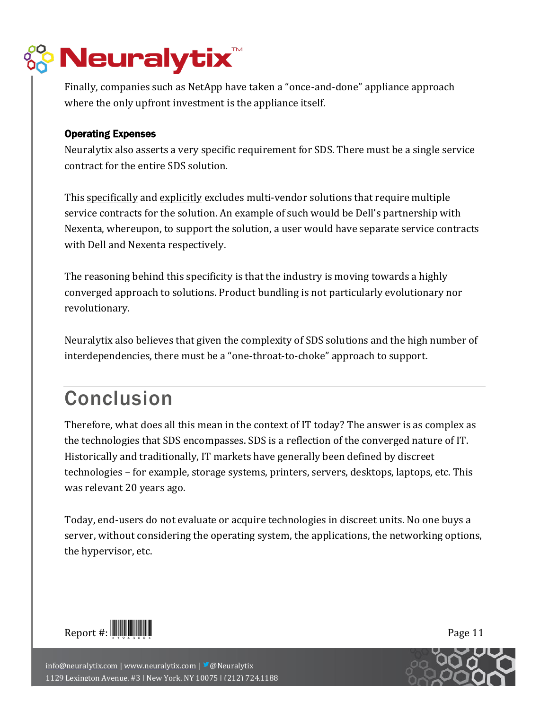

Finally, companies such as NetApp have taken a "once-and-done" appliance approach where the only upfront investment is the appliance itself.

### <span id="page-10-0"></span>Operating Expenses

Neuralytix also asserts a very specific requirement for SDS. There must be a single service contract for the entire SDS solution.

This specifically and explicitly excludes multi-vendor solutions that require multiple service contracts for the solution. An example of such would be Dell's partnership with Nexenta, whereupon, to support the solution, a user would have separate service contracts with Dell and Nexenta respectively.

The reasoning behind this specificity is that the industry is moving towards a highly converged approach to solutions. Product bundling is not particularly evolutionary nor revolutionary.

Neuralytix also believes that given the complexity of SDS solutions and the high number of interdependencies, there must be a "one-throat-to-choke" approach to support.

### <span id="page-10-1"></span>Conclusion

Therefore, what does all this mean in the context of IT today? The answer is as complex as the technologies that SDS encompasses. SDS is a reflection of the converged nature of IT. Historically and traditionally, IT markets have generally been defined by discreet technologies – for example, storage systems, printers, servers, desktops, laptops, etc. This was relevant 20 years ago.

Today, end-users do not evaluate or acquire technologies in discreet units. No one buys a server, without considering the operating system, the applications, the networking options, the hypervisor, etc.



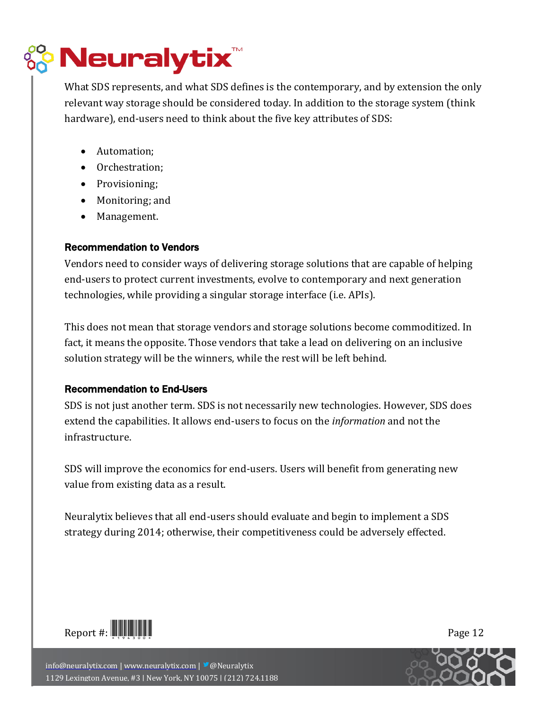

What SDS represents, and what SDS defines is the contemporary, and by extension the only relevant way storage should be considered today. In addition to the storage system (think hardware), end-users need to think about the five key attributes of SDS:

- Automation;
- Orchestration;
- Provisioning;
- Monitoring; and
- Management.

### <span id="page-11-0"></span>Recommendation to Vendors

Vendors need to consider ways of delivering storage solutions that are capable of helping end-users to protect current investments, evolve to contemporary and next generation technologies, while providing a singular storage interface (i.e. APIs).

This does not mean that storage vendors and storage solutions become commoditized. In fact, it means the opposite. Those vendors that take a lead on delivering on an inclusive solution strategy will be the winners, while the rest will be left behind.

### <span id="page-11-1"></span>Recommendation to End-Users

SDS is not just another term. SDS is not necessarily new technologies. However, SDS does extend the capabilities. It allows end-users to focus on the *information* and not the infrastructure.

SDS will improve the economics for end-users. Users will benefit from generating new value from existing data as a result.

Neuralytix believes that all end-users should evaluate and begin to implement a SDS strategy during 2014; otherwise, their competitiveness could be adversely effected.



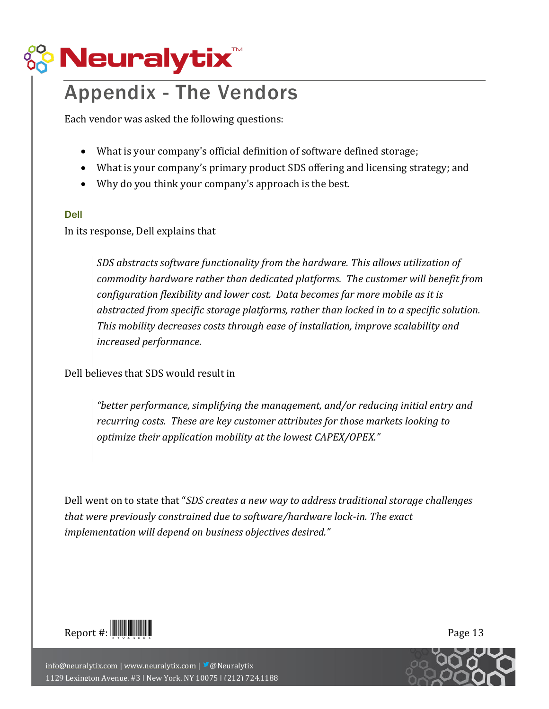

### <span id="page-12-0"></span>Appendix - The Vendors

Each vendor was asked the following questions:

- What is your company's official definition of software defined storage;
- What is your company's primary product SDS offering and licensing strategy; and
- Why do you think your company's approach is the best.

#### Dell

In its response, Dell explains that

*SDS abstracts software functionality from the hardware. This allows utilization of commodity hardware rather than dedicated platforms. The customer will benefit from configuration flexibility and lower cost. Data becomes far more mobile as it is abstracted from specific storage platforms, rather than locked in to a specific solution. This mobility decreases costs through ease of installation, improve scalability and increased performance.*

Dell believes that SDS would result in

*"better performance, simplifying the management, and/or reducing initial entry and recurring costs. These are key customer attributes for those markets looking to optimize their application mobility at the lowest CAPEX/OPEX."*

Dell went on to state that "*SDS creates a new way to address traditional storage challenges that were previously constrained due to software/hardware lock-in. The exact implementation will depend on business objectives desired."*



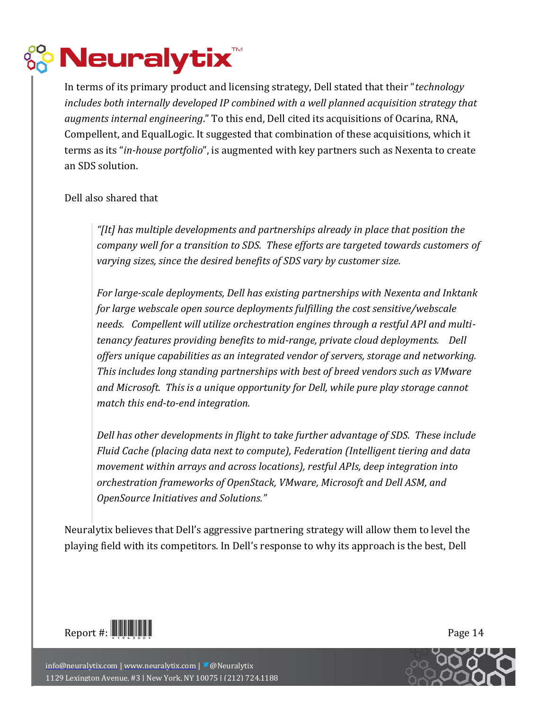

In terms of its primary product and licensing strategy, Dell stated that their "*technology includes both internally developed IP combined with a well planned acquisition strategy that augments internal engineering*." To this end, Dell cited its acquisitions of Ocarina, RNA, Compellent, and EqualLogic. It suggested that combination of these acquisitions, which it terms as its "*in-house portfolio*", is augmented with key partners such as Nexenta to create an SDS solution.

### Dell also shared that

*"[It] has multiple developments and partnerships already in place that position the company well for a transition to SDS. These efforts are targeted towards customers of varying sizes, since the desired benefits of SDS vary by customer size.*

*For large-scale deployments, Dell has existing partnerships with Nexenta and Inktank for large webscale open source deployments fulfilling the cost sensitive/webscale needs. Compellent will utilize orchestration engines through a restful API and multitenancy features providing benefits to mid-range, private cloud deployments. Dell offers unique capabilities as an integrated vendor of servers, storage and networking. This includes long standing partnerships with best of breed vendors such as VMware and Microsoft. This is a unique opportunity for Dell, while pure play storage cannot match this end-to-end integration.*

*Dell has other developments in flight to take further advantage of SDS. These include Fluid Cache (placing data next to compute), Federation (Intelligent tiering and data movement within arrays and across locations), restful APIs, deep integration into orchestration frameworks of OpenStack, VMware, Microsoft and Dell ASM, and OpenSource Initiatives and Solutions."*

Neuralytix believes that Dell's aggressive partnering strategy will allow them to level the playing field with its competitors. In Dell's response to why its approach is the best, Dell



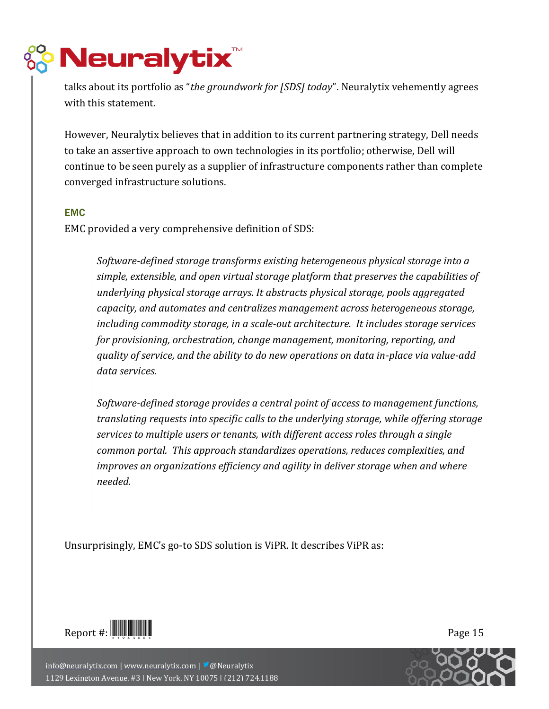

talks about its portfolio as "*the groundwork for [SDS] today*". Neuralytix vehemently agrees with this statement.

However, Neuralytix believes that in addition to its current partnering strategy, Dell needs to take an assertive approach to own technologies in its portfolio; otherwise, Dell will continue to be seen purely as a supplier of infrastructure components rather than complete converged infrastructure solutions.

### EMC

EMC provided a very comprehensive definition of SDS:

*Software-defined storage transforms existing heterogeneous physical storage into a simple, extensible, and open virtual storage platform that preserves the capabilities of underlying physical storage arrays. It abstracts physical storage, pools aggregated capacity, and automates and centralizes management across heterogeneous storage, including commodity storage, in a scale-out architecture. It includes storage services for provisioning, orchestration, change management, monitoring, reporting, and quality of service, and the ability to do new operations on data in-place via value-add data services.*

*Software-defined storage provides a central point of access to management functions, translating requests into specific calls to the underlying storage, while offering storage services to multiple users or tenants, with different access roles through a single common portal. This approach standardizes operations, reduces complexities, and improves an organizations efficiency and agility in deliver storage when and where needed.* 

Unsurprisingly, EMC's go-to SDS solution is ViPR. It describes ViPR as:



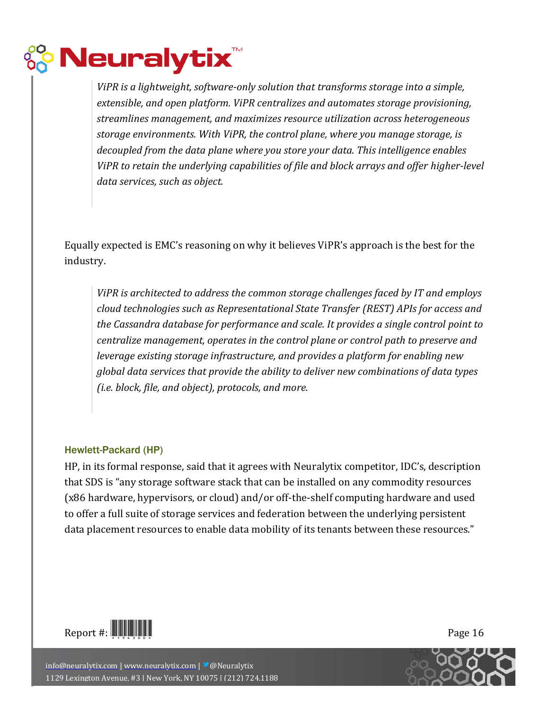## **Neuralytix**

*ViPR is a lightweight, software-only solution that transforms storage into a simple, extensible, and open platform. ViPR centralizes and automates storage provisioning, streamlines management, and maximizes resource utilization across heterogeneous storage environments. With ViPR, the control plane, where you manage storage, is decoupled from the data plane where you store your data. This intelligence enables ViPR to retain the underlying capabilities of file and block arrays and offer higher-level data services, such as object.*

Equally expected is EMC's reasoning on why it believes ViPR's approach is the best for the industry.

*ViPR is architected to address the common storage challenges faced by IT and employs cloud technologies such as Representational State Transfer (REST) APIs for access and the Cassandra database for performance and scale. It provides a single control point to centralize management, operates in the control plane or control path to preserve and leverage existing storage infrastructure, and provides a platform for enabling new global data services that provide the ability to deliver new combinations of data types (i.e. block, file, and object), protocols, and more.*

### Hewlett-Packard (HP)

HP, in its formal response, said that it agrees with Neuralytix competitor, IDC's, description that SDS is "any storage software stack that can be installed on any commodity resources (x86 hardware, hypervisors, or cloud) and/or off-the-shelf computing hardware and used to offer a full suite of storage services and federation between the underlying persistent data placement resources to enable data mobility of its tenants between these resources."



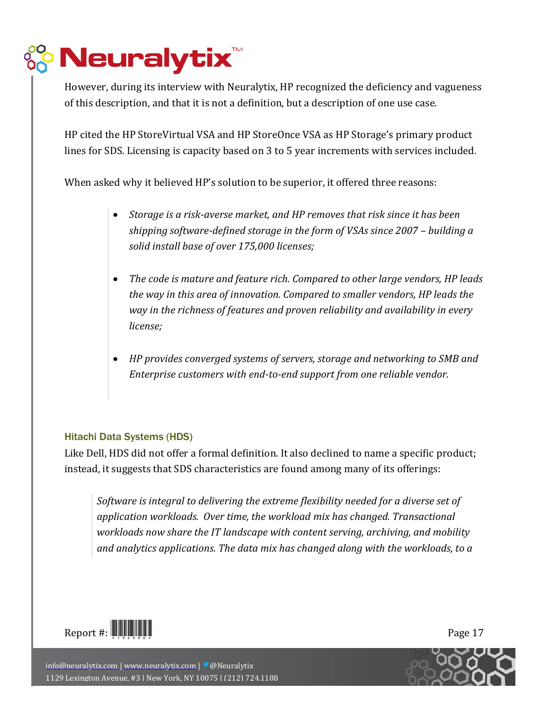## **Neuralytix**

However, during its interview with Neuralytix, HP recognized the deficiency and vagueness of this description, and that it is not a definition, but a description of one use case.

HP cited the HP StoreVirtual VSA and HP StoreOnce VSA as HP Storage's primary product lines for SDS. Licensing is capacity based on 3 to 5 year increments with services included.

When asked why it believed HP's solution to be superior, it offered three reasons:

- *Storage is a risk-averse market, and HP removes that risk since it has been shipping software-defined storage in the form of VSAs since 2007 – building a solid install base of over 175,000 licenses;*
- *The code is mature and feature rich. Compared to other large vendors, HP leads the way in this area of innovation. Compared to smaller vendors, HP leads the way in the richness of features and proven reliability and availability in every license;*
- *HP provides converged systems of servers, storage and networking to SMB and Enterprise customers with end-to-end support from one reliable vendor.*

### Hitachi Data Systems (HDS)

Like Dell, HDS did not offer a formal definition. It also declined to name a specific product; instead, it suggests that SDS characteristics are found among many of its offerings:

*Software is integral to delivering the extreme flexibility needed for a diverse set of application workloads. Over time, the workload mix has changed. Transactional workloads now share the IT landscape with content serving, archiving, and mobility and analytics applications. The data mix has changed along with the workloads, to a* 



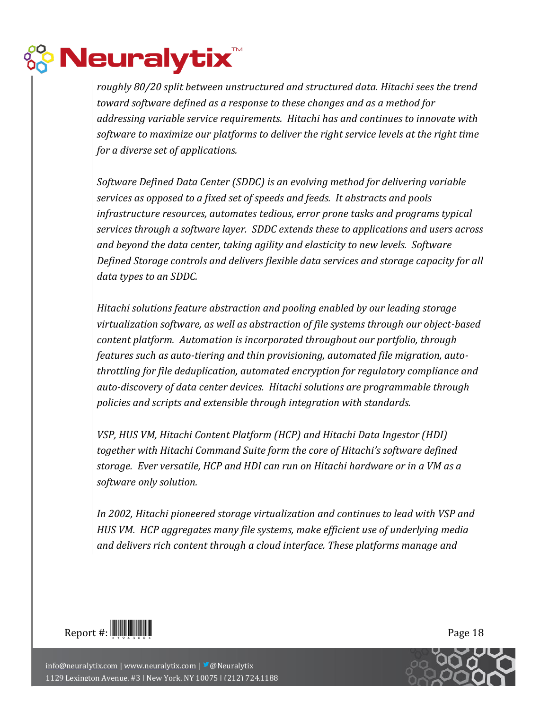## **Peuralytix<sup>®</sup>**

*roughly 80/20 split between unstructured and structured data. Hitachi sees the trend toward software defined as a response to these changes and as a method for addressing variable service requirements. Hitachi has and continues to innovate with software to maximize our platforms to deliver the right service levels at the right time for a diverse set of applications.*

*Software Defined Data Center (SDDC) is an evolving method for delivering variable services as opposed to a fixed set of speeds and feeds. It abstracts and pools infrastructure resources, automates tedious, error prone tasks and programs typical services through a software layer. SDDC extends these to applications and users across and beyond the data center, taking agility and elasticity to new levels. Software Defined Storage controls and delivers flexible data services and storage capacity for all data types to an SDDC.*

*Hitachi solutions feature abstraction and pooling enabled by our leading storage virtualization software, as well as abstraction of file systems through our object-based content platform. Automation is incorporated throughout our portfolio, through features such as auto-tiering and thin provisioning, automated file migration, autothrottling for file deduplication, automated encryption for regulatory compliance and auto-discovery of data center devices. Hitachi solutions are programmable through policies and scripts and extensible through integration with standards.*

*VSP, HUS VM, Hitachi Content Platform (HCP) and Hitachi Data Ingestor (HDI) together with Hitachi Command Suite form the core of Hitachi's software defined storage. Ever versatile, HCP and HDI can run on Hitachi hardware or in a VM as a software only solution.* 

*In 2002, Hitachi pioneered storage virtualization and continues to lead with VSP and HUS VM. HCP aggregates many file systems, make efficient use of underlying media and delivers rich content through a cloud interface. These platforms manage and* 



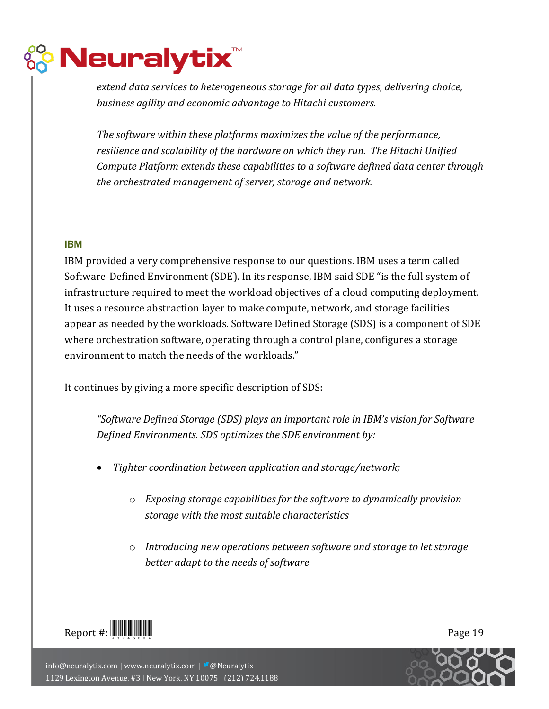# $\frac{1}{2}$  Neuralytix $\sqrt[n]{\frac{1}{2}}$

*extend data services to heterogeneous storage for all data types, delivering choice, business agility and economic advantage to Hitachi customers.*

*The software within these platforms maximizes the value of the performance, resilience and scalability of the hardware on which they run. The Hitachi Unified Compute Platform extends these capabilities to a software defined data center through the orchestrated management of server, storage and network.*

### IBM

IBM provided a very comprehensive response to our questions. IBM uses a term called Software-Defined Environment (SDE). In its response, IBM said SDE "is the full system of infrastructure required to meet the workload objectives of a cloud computing deployment. It uses a resource abstraction layer to make compute, network, and storage facilities appear as needed by the workloads. Software Defined Storage (SDS) is a component of SDE where orchestration software, operating through a control plane, configures a storage environment to match the needs of the workloads."

It continues by giving a more specific description of SDS:

*"Software Defined Storage (SDS) plays an important role in IBM's vision for Software Defined Environments. SDS optimizes the SDE environment by:*

- *Tighter coordination between application and storage/network;*
	- o *Exposing storage capabilities for the software to dynamically provision storage with the most suitable characteristics*
	- o *Introducing new operations between software and storage to let storage better adapt to the needs of software*



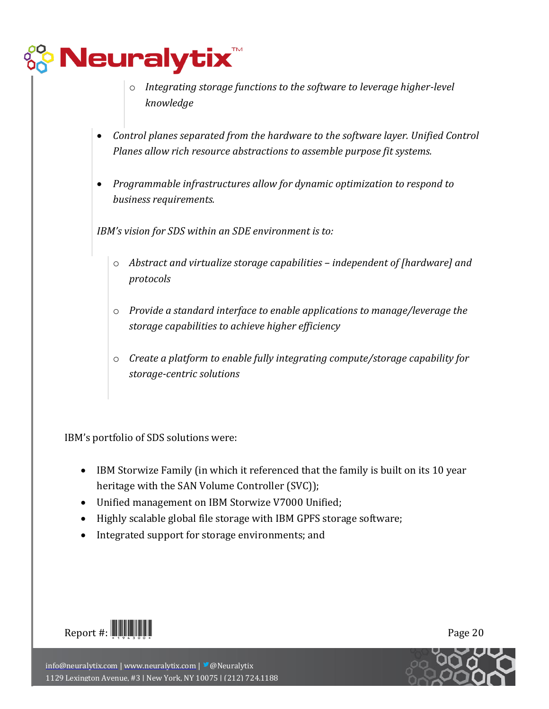## **PNeuralytix**

- o *Integrating storage functions to the software to leverage higher-level knowledge*
- *Control planes separated from the hardware to the software layer. Unified Control Planes allow rich resource abstractions to assemble purpose fit systems.*
- *Programmable infrastructures allow for dynamic optimization to respond to business requirements.*

*IBM's vision for SDS within an SDE environment is to:*

- o *Abstract and virtualize storage capabilities – independent of [hardware] and protocols*
- o *Provide a standard interface to enable applications to manage/leverage the storage capabilities to achieve higher efficiency*
- o *Create a platform to enable fully integrating compute/storage capability for storage-centric solutions*

IBM's portfolio of SDS solutions were:

- IBM Storwize Family (in which it referenced that the family is built on its 10 year heritage with the SAN Volume Controller (SVC));
- Unified management on IBM Storwize V7000 Unified;
- Highly scalable global file storage with IBM GPFS storage software;
- Integrated support for storage environments; and



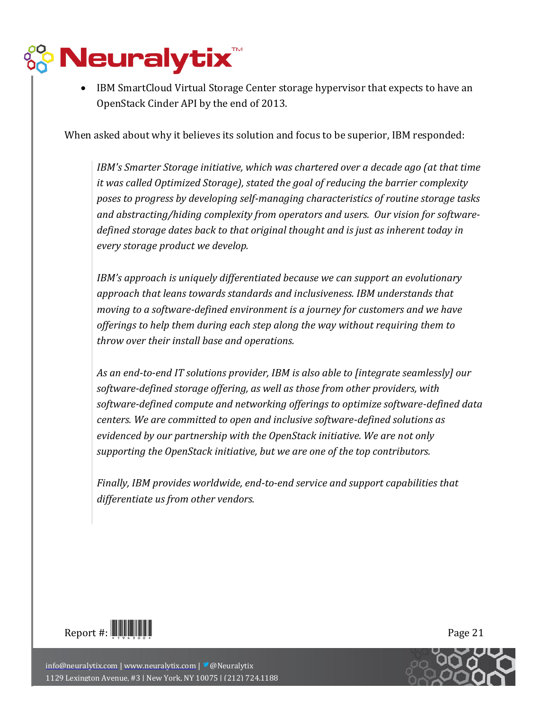# $\frac{1}{2}$  Neuralytix $\sqrt[n]{\frac{1}{2}}$

 IBM SmartCloud Virtual Storage Center storage hypervisor that expects to have an OpenStack Cinder API by the end of 2013.

When asked about why it believes its solution and focus to be superior, IBM responded:

*IBM's Smarter Storage initiative, which was chartered over a decade ago (at that time it was called Optimized Storage), stated the goal of reducing the barrier complexity poses to progress by developing self-managing characteristics of routine storage tasks and abstracting/hiding complexity from operators and users. Our vision for softwaredefined storage dates back to that original thought and is just as inherent today in every storage product we develop.*

*IBM's approach is uniquely differentiated because we can support an evolutionary approach that leans towards standards and inclusiveness. IBM understands that moving to a software-defined environment is a journey for customers and we have offerings to help them during each step along the way without requiring them to throw over their install base and operations.*

*As an end-to-end IT solutions provider, IBM is also able to [integrate seamlessly] our software-defined storage offering, as well as those from other providers, with software-defined compute and networking offerings to optimize software-defined data centers. We are committed to open and inclusive software-defined solutions as evidenced by our partnership with the OpenStack initiative. We are not only supporting the OpenStack initiative, but we are one of the top contributors.*

*Finally, IBM provides worldwide, end-to-end service and support capabilities that differentiate us from other vendors.*



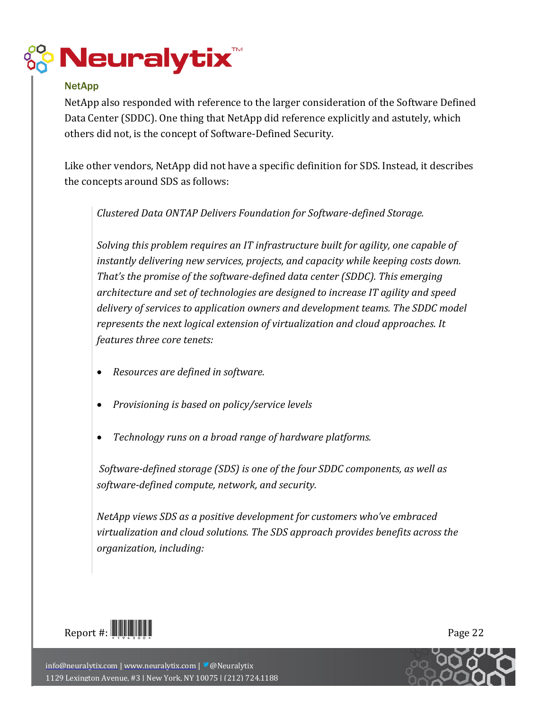

### **NetApp**

NetApp also responded with reference to the larger consideration of the Software Defined Data Center (SDDC). One thing that NetApp did reference explicitly and astutely, which others did not, is the concept of Software-Defined Security.

Like other vendors, NetApp did not have a specific definition for SDS. Instead, it describes the concepts around SDS as follows:

*Clustered Data ONTAP Delivers Foundation for Software-defined Storage.*

*Solving this problem requires an IT infrastructure built for agility, one capable of instantly delivering new services, projects, and capacity while keeping costs down. That's the promise of the software-defined data center (SDDC). This emerging architecture and set of technologies are designed to increase IT agility and speed delivery of services to application owners and development teams. The SDDC model represents the next logical extension of virtualization and cloud approaches. It features three core tenets:*

- *Resources are defined in software.*
- *Provisioning is based on policy/service levels*
- *Technology runs on a broad range of hardware platforms.*

*Software-defined storage (SDS) is one of the four SDDC components, as well as software-defined compute, network, and security.*

*NetApp views SDS as a positive development for customers who've embraced virtualization and cloud solutions. The SDS approach provides benefits across the organization, including:*

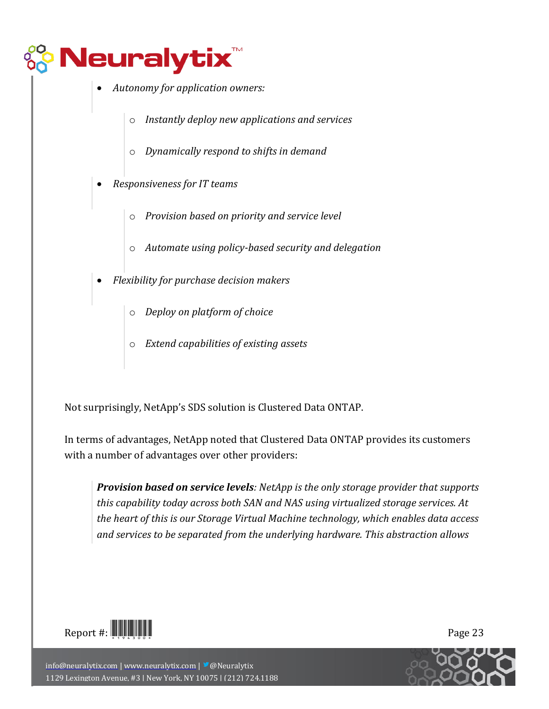

- *Autonomy for application owners:*
	- o *Instantly deploy new applications and services*
	- o *Dynamically respond to shifts in demand*
- *Responsiveness for IT teams*
	- o *Provision based on priority and service level*
	- o *Automate using policy-based security and delegation*
- *Flexibility for purchase decision makers*
	- o *Deploy on platform of choice*
	- o *Extend capabilities of existing assets*

Not surprisingly, NetApp's SDS solution is Clustered Data ONTAP.

In terms of advantages, NetApp noted that Clustered Data ONTAP provides its customers with a number of advantages over other providers:

*Provision based on service levels: NetApp is the only storage provider that supports this capability today across both SAN and NAS using virtualized storage services. At the heart of this is our Storage Virtual Machine technology, which enables data access and services to be separated from the underlying hardware. This abstraction allows* 

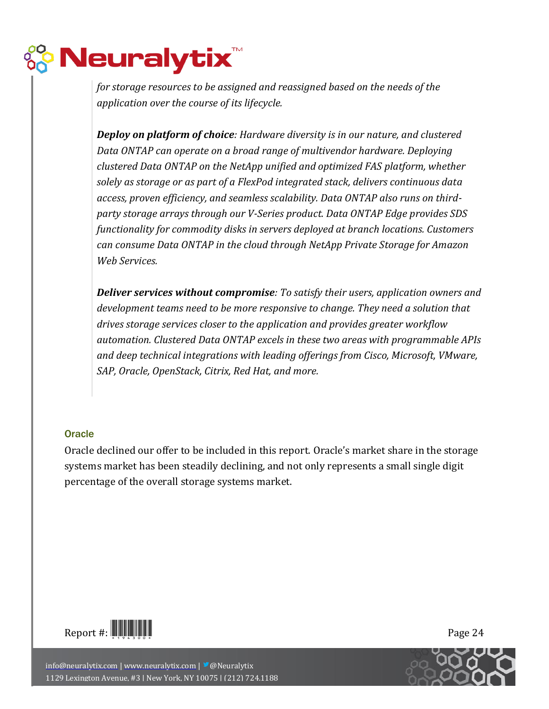# <mark>, Neuralytix™</mark>

*for storage resources to be assigned and reassigned based on the needs of the application over the course of its lifecycle.*

*Deploy on platform of choice: Hardware diversity is in our nature, and clustered Data ONTAP can operate on a broad range of multivendor hardware. Deploying clustered Data ONTAP on the NetApp unified and optimized FAS platform, whether solely as storage or as part of a FlexPod integrated stack, delivers continuous data access, proven efficiency, and seamless scalability. Data ONTAP also runs on thirdparty storage arrays through our V-Series product. Data ONTAP Edge provides SDS functionality for commodity disks in servers deployed at branch locations. Customers can consume Data ONTAP in the cloud through NetApp Private Storage for Amazon Web Services.*

*Deliver services without compromise: To satisfy their users, application owners and development teams need to be more responsive to change. They need a solution that drives storage services closer to the application and provides greater workflow automation. Clustered Data ONTAP excels in these two areas with programmable APIs and deep technical integrations with leading offerings from Cisco, Microsoft, VMware, SAP, Oracle, OpenStack, Citrix, Red Hat, and more.*

### **Oracle**

Oracle declined our offer to be included in this report. Oracle's market share in the storage systems market has been steadily declining, and not only represents a small single digit percentage of the overall storage systems market.